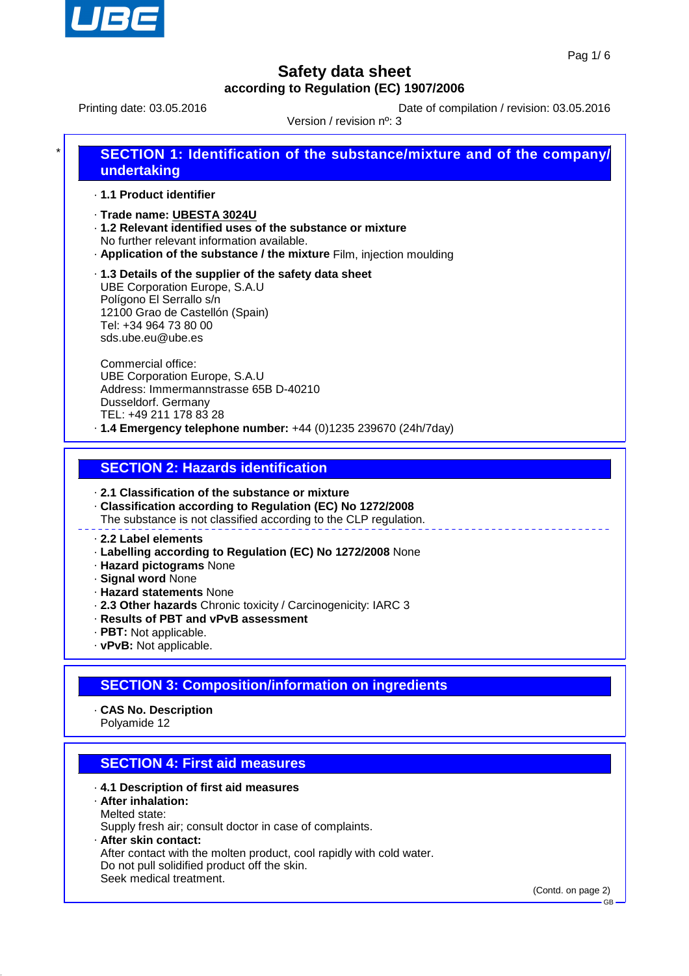

Printing date: 03.05.2016 **Date of compilation / revision: 03.05.2016** 

Version / revision nº: 3

# **SECTION 1: Identification of the substance/mixture and of the company/ undertaking**

#### · **1.1 Product identifier**

- · **Trade name: UBESTA 3024U**
- · **1.2 Relevant identified uses of the substance or mixture** No further relevant information available.
- · **Application of the substance / the mixture** Film, injection moulding

#### · **1.3 Details of the supplier of the safety data sheet** UBE Corporation Europe, S.A.U Polígono El Serrallo s/n 12100 Grao de Castellón (Spain) Tel: +34 964 73 80 00 sds.ube.eu@ube.es

Commercial office: UBE Corporation Europe, S.A.U Address: Immermannstrasse 65B D-40210 Dusseldorf. Germany TEL: +49 211 178 83 28 · **1.4 Emergency telephone number:** +44 (0)1235 239670 (24h/7day)

#### **SECTION 2: Hazards identification**

- · **2.1 Classification of the substance or mixture**
- · **Classification according to Regulation (EC) No 1272/2008**
- The substance is not classified according to the CLP regulation.

#### · **2.2 Label elements**

- · **Labelling according to Regulation (EC) No 1272/2008** None
- · **Hazard pictograms** None
- · **Signal word** None
- · **Hazard statements** None
- · **2.3 Other hazards** Chronic toxicity / Carcinogenicity: IARC 3
- · **Results of PBT and vPvB assessment**
- · **PBT:** Not applicable.
- · **vPvB:** Not applicable.

## **SECTION 3: Composition/information on ingredients**

· **CAS No. Description** Polyamide 12

### **SECTION 4: First aid measures**

#### · **4.1 Description of first aid measures**

- · **After inhalation:** Melted state: Supply fresh air; consult doctor in case of complaints. · **After skin contact:** After contact with the molten product, cool rapidly with cold water.
- Do not pull solidified product off the skin.
- Seek medical treatment.

(Contd. on page 2)

GB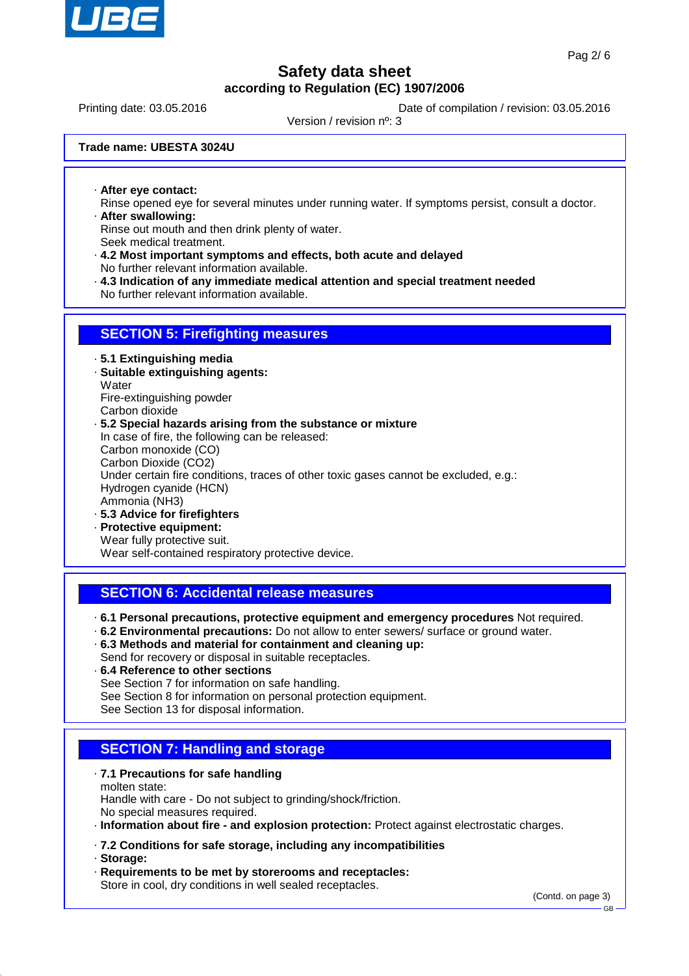

Printing date: 03.05.2016 **Date of compilation / revision: 03.05.2016** 

Version / revision nº: 3

**Trade name: UBESTA 3024U**

· **After eye contact:**

Rinse opened eye for several minutes under running water. If symptoms persist, consult a doctor. · **After swallowing:**

Rinse out mouth and then drink plenty of water.

Seek medical treatment.

- · **4.2 Most important symptoms and effects, both acute and delayed**
- No further relevant information available.
- · **4.3 Indication of any immediate medical attention and special treatment needed** No further relevant information available.

#### **SECTION 5: Firefighting measures**

· **5.1 Extinguishing media**

- · **Suitable extinguishing agents: Water** Fire-extinguishing powder
- Carbon dioxide
- · **5.2 Special hazards arising from the substance or mixture** In case of fire, the following can be released: Carbon monoxide (CO) Carbon Dioxide (CO2) Under certain fire conditions, traces of other toxic gases cannot be excluded, e.g.: Hydrogen cyanide (HCN) Ammonia (NH3) · **5.3 Advice for firefighters**
- · **Protective equipment:**
- Wear fully protective suit.

Wear self-contained respiratory protective device.

### **SECTION 6: Accidental release measures**

· **6.1 Personal precautions, protective equipment and emergency procedures** Not required.

- · **6.2 Environmental precautions:** Do not allow to enter sewers/ surface or ground water.
- · **6.3 Methods and material for containment and cleaning up:**

Send for recovery or disposal in suitable receptacles.

· **6.4 Reference to other sections** See Section 7 for information on safe handling. See Section 8 for information on personal protection equipment. See Section 13 for disposal information.

## **SECTION 7: Handling and storage**

· **7.1 Precautions for safe handling**

molten state: Handle with care - Do not subject to grinding/shock/friction. No special measures required.

- · **Information about fire and explosion protection:** Protect against electrostatic charges.
- · **7.2 Conditions for safe storage, including any incompatibilities**
- · **Storage:**

· **Requirements to be met by storerooms and receptacles:** Store in cool, dry conditions in well sealed receptacles.

(Contd. on page 3)

GB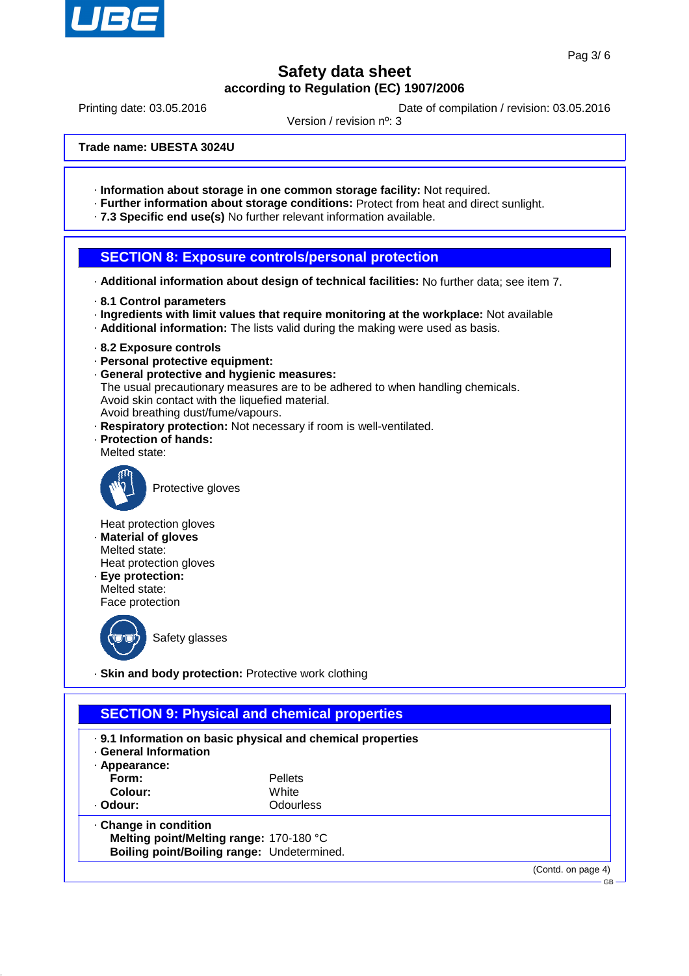

GB

## **Safety data sheet according to Regulation (EC) 1907/2006**

Printing date: 03.05.2016 **Date of compilation / revision: 03.05.2016** 

Version / revision nº: 3

**Trade name: UBESTA 3024U**

- · **Information about storage in one common storage facility:** Not required.
- · **Further information about storage conditions:** Protect from heat and direct sunlight.
- · **7.3 Specific end use(s)** No further relevant information available.

### **SECTION 8: Exposure controls/personal protection**

- · **Additional information about design of technical facilities:** No further data; see item 7.
- · **8.1 Control parameters**
- · **Ingredients with limit values that require monitoring at the workplace:** Not available
- · **Additional information:** The lists valid during the making were used as basis.
- · **8.2 Exposure controls**
- · **Personal protective equipment:**
- · **General protective and hygienic measures:**
- The usual precautionary measures are to be adhered to when handling chemicals. Avoid skin contact with the liquefied material.
- Avoid breathing dust/fume/vapours.
- · **Respiratory protection:** Not necessary if room is well-ventilated.
- · **Protection of hands:**

Melted state:



Protective gloves

- Heat protection gloves · **Material of gloves** Melted state: Heat protection gloves
- · **Eye protection:** Melted state: Face protection



Safety glasses

· **Skin and body protection:** Protective work clothing

## **SECTION 9: Physical and chemical properties**

| . 9.1 Information on basic physical and chemical properties<br><b>General Information</b><br>· Appearance:   |                |                    |  |
|--------------------------------------------------------------------------------------------------------------|----------------|--------------------|--|
| Form:                                                                                                        | <b>Pellets</b> |                    |  |
| Colour:                                                                                                      | White          |                    |  |
| · Odour:                                                                                                     | Odourless      |                    |  |
| Change in condition<br>Melting point/Melting range: 170-180 °C<br>Boiling point/Boiling range: Undetermined. |                |                    |  |
|                                                                                                              |                | (Contd. on page 4) |  |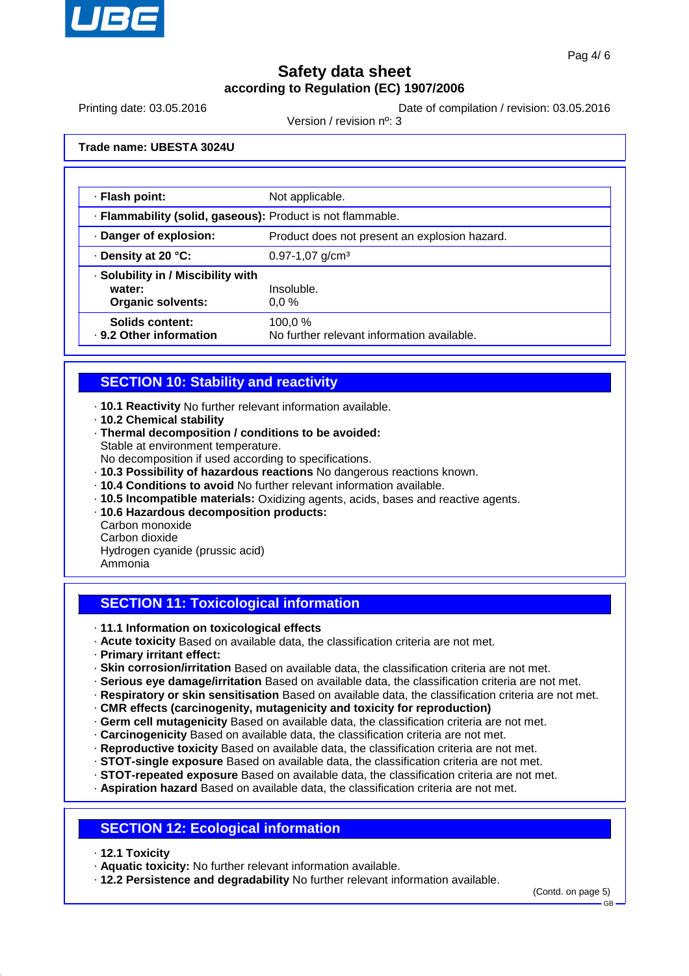

Printing date: 03.05.2016 **Date of compilation / revision: 03.05.2016** 

Version / revision nº: 3

**Trade name: UBESTA 3024U**

| · Flash point:                                                           | Not applicable.                                      |  |  |
|--------------------------------------------------------------------------|------------------------------------------------------|--|--|
| · Flammability (solid, gaseous): Product is not flammable.               |                                                      |  |  |
| Danger of explosion:                                                     | Product does not present an explosion hazard.        |  |  |
| · Density at 20 °C:                                                      | $0.97 - 1.07$ g/cm <sup>3</sup>                      |  |  |
| · Solubility in / Miscibility with<br>water:<br><b>Organic solvents:</b> | Insoluble.<br>$0.0\%$                                |  |  |
| Solids content:<br>. 9.2 Other information                               | 100.0%<br>No further relevant information available. |  |  |

### **SECTION 10: Stability and reactivity**

- · **10.1 Reactivity** No further relevant information available.
- · **10.2 Chemical stability**
- · **Thermal decomposition / conditions to be avoided:**
- Stable at environment temperature.
- No decomposition if used according to specifications.
- · **10.3 Possibility of hazardous reactions** No dangerous reactions known.
- · **10.4 Conditions to avoid** No further relevant information available.
- · **10.5 Incompatible materials:** Oxidizing agents, acids, bases and reactive agents.
- · **10.6 Hazardous decomposition products:** Carbon monoxide

Carbon dioxide

Hydrogen cyanide (prussic acid)

Ammonia

### **SECTION 11: Toxicological information**

- · **11.1 Information on toxicological effects**
- · **Acute toxicity** Based on available data, the classification criteria are not met.
- · **Primary irritant effect:**
- · **Skin corrosion/irritation** Based on available data, the classification criteria are not met.
- · **Serious eye damage/irritation** Based on available data, the classification criteria are not met.
- · **Respiratory or skin sensitisation** Based on available data, the classification criteria are not met.
- · **CMR effects (carcinogenity, mutagenicity and toxicity for reproduction)**
- · **Germ cell mutagenicity** Based on available data, the classification criteria are not met.
- · **Carcinogenicity** Based on available data, the classification criteria are not met.
- · **Reproductive toxicity** Based on available data, the classification criteria are not met.
- · **STOT-single exposure** Based on available data, the classification criteria are not met.
- · **STOT-repeated exposure** Based on available data, the classification criteria are not met.
- · **Aspiration hazard** Based on available data, the classification criteria are not met.

### **SECTION 12: Ecological information**

- · **12.1 Toxicity**
- · **Aquatic toxicity:** No further relevant information available.
- · **12.2 Persistence and degradability** No further relevant information available.

(Contd. on page 5)

GB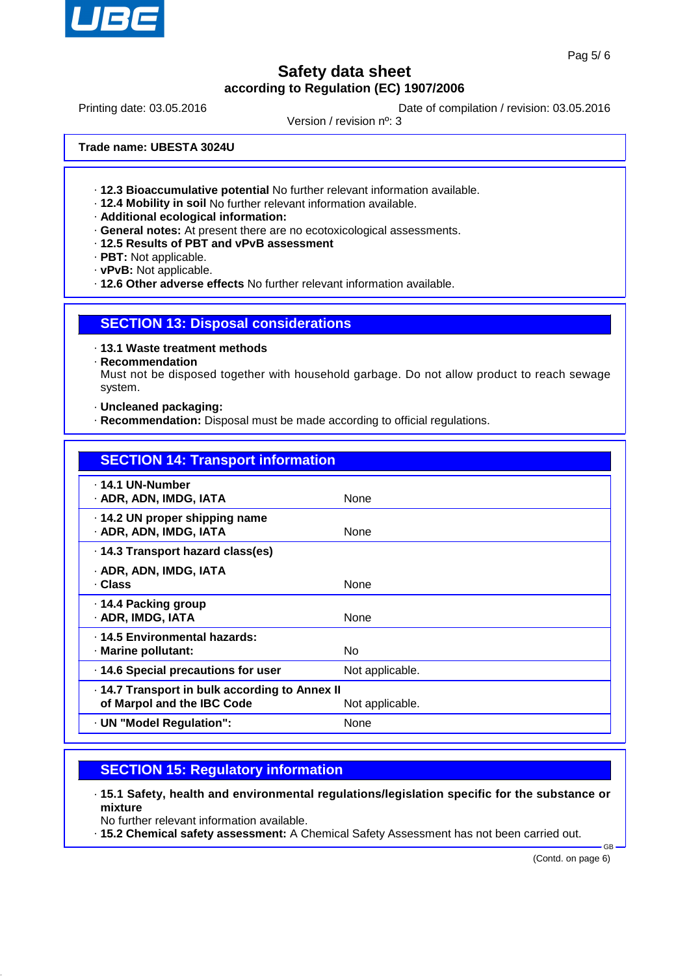

Printing date: 03.05.2016 **Date of compilation / revision: 03.05.2016** 

Version / revision nº: 3

**Trade name: UBESTA 3024U**

- · **12.3 Bioaccumulative potential** No further relevant information available.
- · **12.4 Mobility in soil** No further relevant information available.
- · **Additional ecological information:**
- · **General notes:** At present there are no ecotoxicological assessments.
- · **12.5 Results of PBT and vPvB assessment**
- · **PBT:** Not applicable.
- · **vPvB:** Not applicable.
- · **12.6 Other adverse effects** No further relevant information available.

#### **SECTION 13: Disposal considerations**

- · **13.1 Waste treatment methods**
- · **Recommendation**

Must not be disposed together with household garbage. Do not allow product to reach sewage system.

- · **Uncleaned packaging:**
- · **Recommendation:** Disposal must be made according to official regulations.

| <b>SECTION 14: Transport information</b>                                                      |                 |  |
|-----------------------------------------------------------------------------------------------|-----------------|--|
| . 14.1 UN-Number<br>· ADR, ADN, IMDG, IATA                                                    | None            |  |
| 14.2 UN proper shipping name<br>· ADR, ADN, IMDG, IATA                                        | None            |  |
| . 14.3 Transport hazard class(es)                                                             |                 |  |
| · ADR, ADN, IMDG, IATA<br>· Class                                                             | None            |  |
| ⋅ 14.4 Packing group<br>· ADR, IMDG, IATA                                                     | None            |  |
| . 14.5 Environmental hazards:<br>· Marine pollutant:                                          | No.             |  |
| 14.6 Special precautions for user                                                             | Not applicable. |  |
| 14.7 Transport in bulk according to Annex II<br>of Marpol and the IBC Code<br>Not applicable. |                 |  |
| · UN "Model Regulation":                                                                      | None            |  |

### **SECTION 15: Regulatory information**

- · **15.1 Safety, health and environmental regulations/legislation specific for the substance or mixture**
- No further relevant information available.
- · **15.2 Chemical safety assessment:** A Chemical Safety Assessment has not been carried out.

(Contd. on page 6)

GB